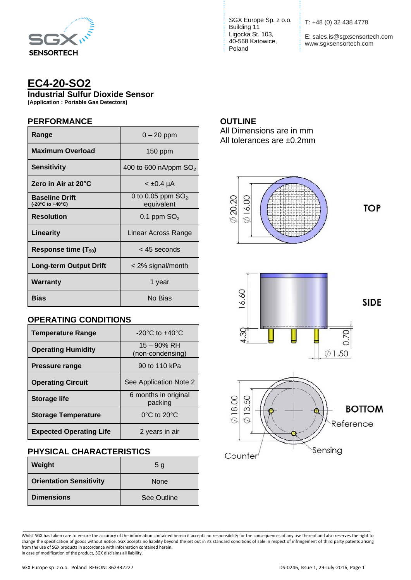

# **EC4-20-SO2**

**Industrial Sulfur Dioxide Sensor**

**(Application : Portable Gas Detectors)**

## **PERFORMANCE**

| Range                                     | $0 - 20$ ppm                      |
|-------------------------------------------|-----------------------------------|
| <b>Maximum Overload</b>                   | 150 ppm                           |
| <b>Sensitivity</b>                        | 400 to 600 nA/ppm $SO2$           |
| Zero in Air at 20°C                       | < ±0.4 µA                         |
| <b>Baseline Drift</b><br>(-20°C to +40°C) | 0 to 0.05 ppm $SO2$<br>equivalent |
| <b>Resolution</b>                         | 0.1 ppm $SO2$                     |
| Linearity                                 | Linear Across Range               |
| Response time $(T_{90})$                  | < 45 seconds                      |
| Long-term Output Drift                    | $<$ 2% signal/month               |
| Warranty                                  | 1 year                            |
| <b>Bias</b>                               | No Bias                           |

# **OPERATING CONDITIONS**

| <b>Temperature Range</b>       | $-20^{\circ}$ C to $+40^{\circ}$ C |
|--------------------------------|------------------------------------|
| <b>Operating Humidity</b>      | $15 - 90\%$ RH<br>(non-condensing) |
| <b>Pressure range</b>          | 90 to 110 kPa                      |
| <b>Operating Circuit</b>       | See Application Note 2             |
| <b>Storage life</b>            | 6 months in original<br>packing    |
| <b>Storage Temperature</b>     | $0^{\circ}$ C to 20 $^{\circ}$ C   |
| <b>Expected Operating Life</b> | 2 years in air                     |

# **PHYSICAL CHARACTERISTICS**

| Weight                         | 5 <sub>q</sub> |
|--------------------------------|----------------|
| <b>Orientation Sensitivity</b> | <b>None</b>    |
| <b>Dimensions</b>              | See Outline    |

SGX Europe Sp. z o.o. <br>
T: +48 (0) 32 438 4778 Building 11 Ligocka St. 103, 40-568 Katowice, Poland

E: sales.is@sgxsensortech.com www.sgxsensortech.com

## **OUTLINE**

All Dimensions are in mm All tolerances are ±0.2mm



Whilst SGX has taken care to ensure the accuracy of the information contained herein it accepts no responsibility for the consequences of any use thereof and also reserves the right to change the specification of goods without notice. SGX accepts no liability beyond the set out in its standard conditions of sale in respect of infringement of third party patents arising from the use of SGX products in accordance with information contained herein. In case of modification of the product, SGX disclaims all liability.

\_\_\_\_\_\_\_\_\_\_\_\_\_\_\_\_\_\_\_\_\_\_\_\_\_\_\_\_\_\_\_\_\_\_\_\_\_\_\_\_\_\_\_\_\_\_\_\_\_\_\_\_\_\_\_\_\_\_\_\_\_\_\_\_\_\_\_\_\_\_\_\_\_\_\_\_\_\_\_\_\_\_\_\_\_\_\_\_\_\_\_\_

SGX Europe sp .z o.o. Poland REGON: 362332227 DS-0246, Issue 1, 29-July-2016, Page 1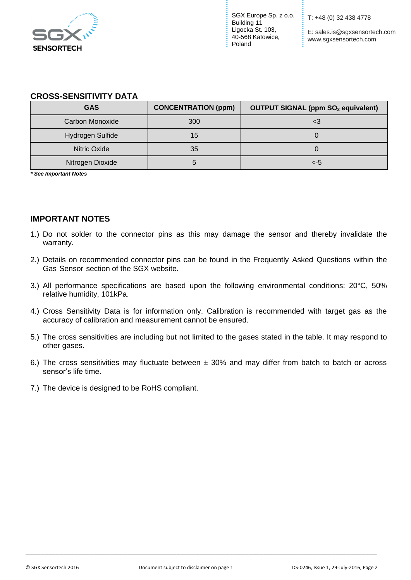

SGX Europe Sp. z o.o. Building 11 Ligocka St. 103, 40-568 Katowice, Poland

T: +48 (0) 32 438 4778

E: sales.is@sgxsensortech.com www.sgxsensortech.com

#### **CROSS-SENSITIVITY DATA**

| <b>GAS</b>       | <b>CONCENTRATION (ppm)</b> | <b>OUTPUT SIGNAL (ppm SO<sub>2</sub> equivalent)</b> |
|------------------|----------------------------|------------------------------------------------------|
| Carbon Monoxide  | 300                        | <3                                                   |
| Hydrogen Sulfide | 15                         |                                                      |
| Nitric Oxide     | 35                         |                                                      |
| Nitrogen Dioxide |                            | <-5                                                  |

*\* See Important Notes*

## **IMPORTANT NOTES**

- 1.) Do not solder to the connector pins as this may damage the sensor and thereby invalidate the warranty.
- 2.) Details on recommended connector pins can be found in the Frequently Asked Questions within the Gas Sensor section of the SGX website.
- 3.) All performance specifications are based upon the following environmental conditions: 20°C, 50% relative humidity, 101kPa.
- 4.) Cross Sensitivity Data is for information only. Calibration is recommended with target gas as the accuracy of calibration and measurement cannot be ensured.
- 5.) The cross sensitivities are including but not limited to the gases stated in the table. It may respond to other gases.
- 6.) The cross sensitivities may fluctuate between  $\pm$  30% and may differ from batch to batch or across sensor's life time.
- 7.) The device is designed to be RoHS compliant.

\_\_\_\_\_\_\_\_\_\_\_\_\_\_\_\_\_\_\_\_\_\_\_\_\_\_\_\_\_\_\_\_\_\_\_\_\_\_\_\_\_\_\_\_\_\_\_\_\_\_\_\_\_\_\_\_\_\_\_\_\_\_\_\_\_\_\_\_\_\_\_\_\_\_\_\_\_\_\_\_\_\_\_\_\_\_\_\_\_\_\_\_\_